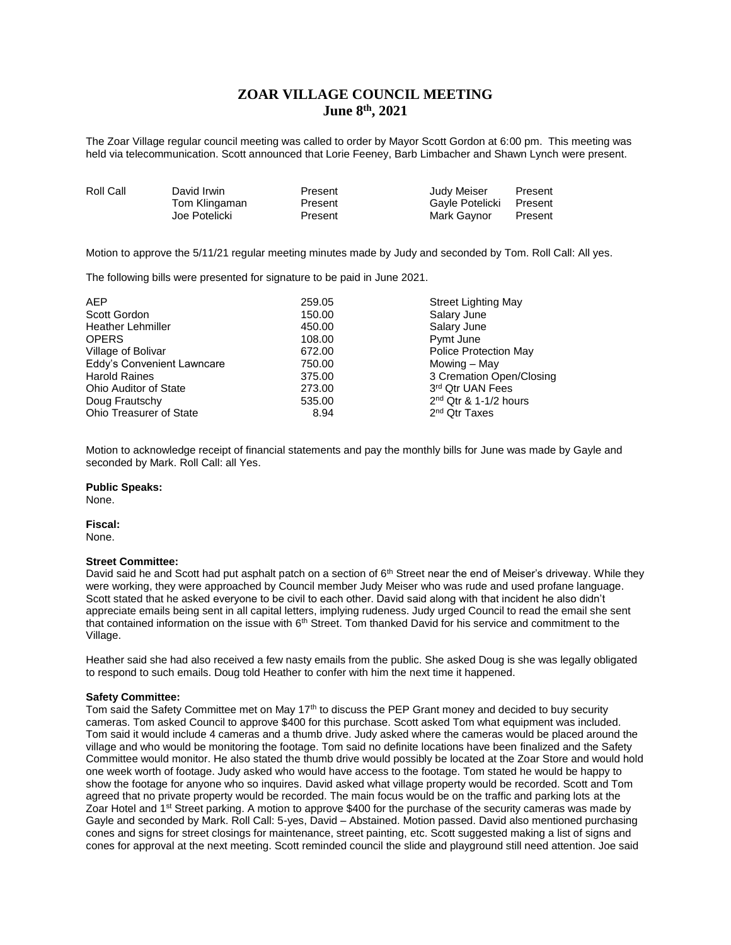# **ZOAR VILLAGE COUNCIL MEETING June 8th, 2021**

The Zoar Village regular council meeting was called to order by Mayor Scott Gordon at 6:00 pm. This meeting was held via telecommunication. Scott announced that Lorie Feeney, Barb Limbacher and Shawn Lynch were present.

| Roll Call | David Irwin   | Present | Judy Meiser             | Present |
|-----------|---------------|---------|-------------------------|---------|
|           | Tom Klingaman | Present | Gayle Potelicki Present |         |
|           | Joe Potelicki | Present | Mark Gavnor             | Present |

Motion to approve the 5/11/21 regular meeting minutes made by Judy and seconded by Tom. Roll Call: All yes.

The following bills were presented for signature to be paid in June 2021.

| <b>AEP</b>                     | 259.05 | <b>Street Lighting May</b> |
|--------------------------------|--------|----------------------------|
| Scott Gordon                   | 150.00 | Salary June                |
| <b>Heather Lehmiller</b>       | 450.00 | Salary June                |
| <b>OPERS</b>                   | 108.00 | Pymt June                  |
| Village of Bolivar             | 672.00 | Police Protection May      |
| Eddy's Convenient Lawncare     | 750.00 | Mowing – May               |
| <b>Harold Raines</b>           | 375.00 | 3 Cremation Open/Closing   |
| <b>Ohio Auditor of State</b>   | 273.00 | 3rd Qtr UAN Fees           |
| Doug Frautschy                 | 535.00 | $2nd$ Qtr & 1-1/2 hours    |
| <b>Ohio Treasurer of State</b> | 8.94   | 2 <sup>nd</sup> Qtr Taxes  |

Motion to acknowledge receipt of financial statements and pay the monthly bills for June was made by Gayle and seconded by Mark. Roll Call: all Yes.

### **Public Speaks:**

None.

## **Fiscal:**

None.

### **Street Committee:**

David said he and Scott had put asphalt patch on a section of  $6<sup>th</sup>$  Street near the end of Meiser's driveway. While they were working, they were approached by Council member Judy Meiser who was rude and used profane language. Scott stated that he asked everyone to be civil to each other. David said along with that incident he also didn't appreciate emails being sent in all capital letters, implying rudeness. Judy urged Council to read the email she sent that contained information on the issue with 6<sup>th</sup> Street. Tom thanked David for his service and commitment to the Village.

Heather said she had also received a few nasty emails from the public. She asked Doug is she was legally obligated to respond to such emails. Doug told Heather to confer with him the next time it happened.

## **Safety Committee:**

Tom said the Safety Committee met on May 17<sup>th</sup> to discuss the PEP Grant money and decided to buy security cameras. Tom asked Council to approve \$400 for this purchase. Scott asked Tom what equipment was included. Tom said it would include 4 cameras and a thumb drive. Judy asked where the cameras would be placed around the village and who would be monitoring the footage. Tom said no definite locations have been finalized and the Safety Committee would monitor. He also stated the thumb drive would possibly be located at the Zoar Store and would hold one week worth of footage. Judy asked who would have access to the footage. Tom stated he would be happy to show the footage for anyone who so inquires. David asked what village property would be recorded. Scott and Tom agreed that no private property would be recorded. The main focus would be on the traffic and parking lots at the Zoar Hotel and 1<sup>st</sup> Street parking. A motion to approve \$400 for the purchase of the security cameras was made by Gayle and seconded by Mark. Roll Call: 5-yes, David – Abstained. Motion passed. David also mentioned purchasing cones and signs for street closings for maintenance, street painting, etc. Scott suggested making a list of signs and cones for approval at the next meeting. Scott reminded council the slide and playground still need attention. Joe said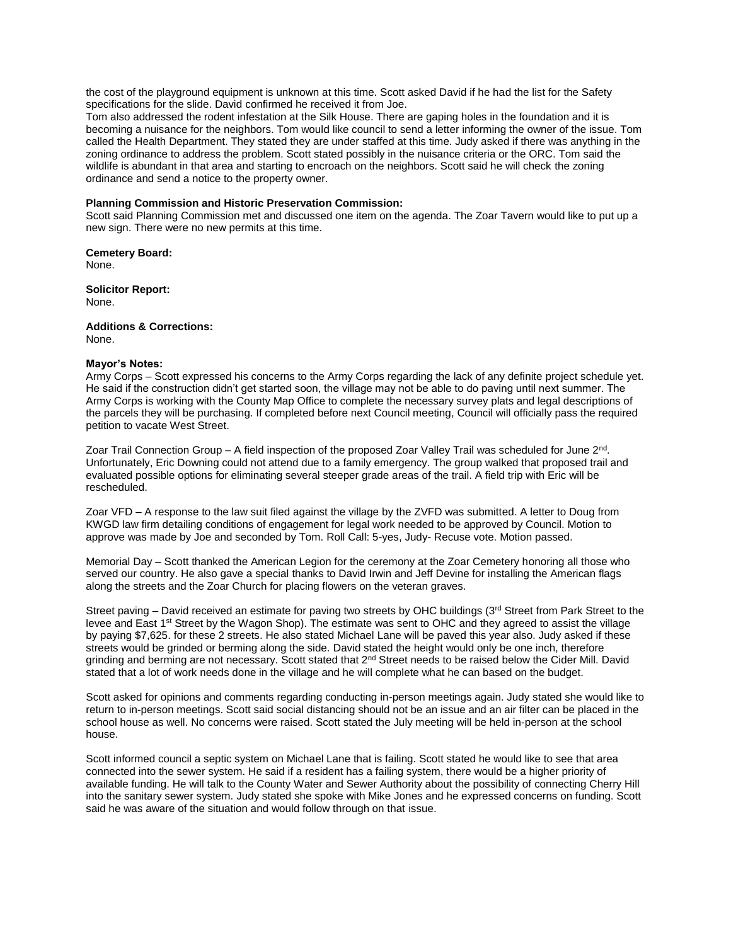the cost of the playground equipment is unknown at this time. Scott asked David if he had the list for the Safety specifications for the slide. David confirmed he received it from Joe.

Tom also addressed the rodent infestation at the Silk House. There are gaping holes in the foundation and it is becoming a nuisance for the neighbors. Tom would like council to send a letter informing the owner of the issue. Tom called the Health Department. They stated they are under staffed at this time. Judy asked if there was anything in the zoning ordinance to address the problem. Scott stated possibly in the nuisance criteria or the ORC. Tom said the wildlife is abundant in that area and starting to encroach on the neighbors. Scott said he will check the zoning ordinance and send a notice to the property owner.

## **Planning Commission and Historic Preservation Commission:**

Scott said Planning Commission met and discussed one item on the agenda. The Zoar Tavern would like to put up a new sign. There were no new permits at this time.

**Cemetery Board:** None.

**Solicitor Report:** None.

**Additions & Corrections:** None.

### **Mayor's Notes:**

Army Corps – Scott expressed his concerns to the Army Corps regarding the lack of any definite project schedule yet. He said if the construction didn't get started soon, the village may not be able to do paving until next summer. The Army Corps is working with the County Map Office to complete the necessary survey plats and legal descriptions of the parcels they will be purchasing. If completed before next Council meeting, Council will officially pass the required petition to vacate West Street.

Zoar Trail Connection Group – A field inspection of the proposed Zoar Valley Trail was scheduled for June 2<sup>nd</sup>. Unfortunately, Eric Downing could not attend due to a family emergency. The group walked that proposed trail and evaluated possible options for eliminating several steeper grade areas of the trail. A field trip with Eric will be rescheduled.

Zoar VFD – A response to the law suit filed against the village by the ZVFD was submitted. A letter to Doug from KWGD law firm detailing conditions of engagement for legal work needed to be approved by Council. Motion to approve was made by Joe and seconded by Tom. Roll Call: 5-yes, Judy- Recuse vote. Motion passed.

Memorial Day – Scott thanked the American Legion for the ceremony at the Zoar Cemetery honoring all those who served our country. He also gave a special thanks to David Irwin and Jeff Devine for installing the American flags along the streets and the Zoar Church for placing flowers on the veteran graves.

Street paving – David received an estimate for paving two streets by OHC buildings (3<sup>rd</sup> Street from Park Street to the levee and East 1st Street by the Wagon Shop). The estimate was sent to OHC and they agreed to assist the village by paying \$7,625. for these 2 streets. He also stated Michael Lane will be paved this year also. Judy asked if these streets would be grinded or berming along the side. David stated the height would only be one inch, therefore grinding and berming are not necessary. Scott stated that 2<sup>nd</sup> Street needs to be raised below the Cider Mill. David stated that a lot of work needs done in the village and he will complete what he can based on the budget.

Scott asked for opinions and comments regarding conducting in-person meetings again. Judy stated she would like to return to in-person meetings. Scott said social distancing should not be an issue and an air filter can be placed in the school house as well. No concerns were raised. Scott stated the July meeting will be held in-person at the school house.

Scott informed council a septic system on Michael Lane that is failing. Scott stated he would like to see that area connected into the sewer system. He said if a resident has a failing system, there would be a higher priority of available funding. He will talk to the County Water and Sewer Authority about the possibility of connecting Cherry Hill into the sanitary sewer system. Judy stated she spoke with Mike Jones and he expressed concerns on funding. Scott said he was aware of the situation and would follow through on that issue.